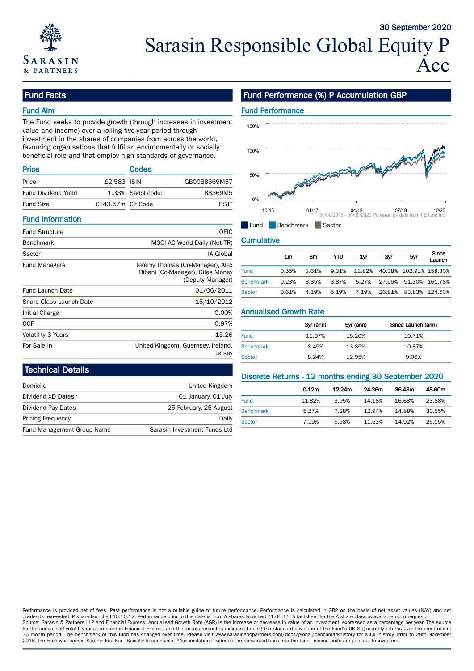

## Fund Facts

### Fund Aim

The Fund seeks to provide growth (through increases in investment value and income) over a rolling five-year period through investment in the shares of companies from across the world, favouring organisations that fulfil an environmentally or socially beneficial role and that employ high standards of governance.

| <b>Price</b>        |                   | <b>Codes</b>      |              | 50% |                           |
|---------------------|-------------------|-------------------|--------------|-----|---------------------------|
| Price               | £2.583 ISIN       |                   | GB00B8369M57 |     | of Parties of the Company |
| Fund Dividend Yield |                   | 1.33% Sedol code: | B8369M5      |     |                           |
| <b>Fund Size</b>    | £143.57m CitiCode |                   | GSJT         | 0%  |                           |
|                     |                   |                   |              |     | 10/15<br>01/17            |

#### Fund Information

| <b>Fund Structure</b>   | <b>OEIC</b>                                                          | u uu u                        | <b>DELIGITION</b> |           | $\blacksquare$ Jector |           |        |                    |                           |
|-------------------------|----------------------------------------------------------------------|-------------------------------|-------------------|-----------|-----------------------|-----------|--------|--------------------|---------------------------|
| <b>Benchmark</b>        | MSCI AC World Daily (Net TR)                                         | <b>Cumulative</b>             |                   |           |                       |           |        |                    |                           |
| Sector                  | IA Global                                                            |                               | 1 <sub>m</sub>    | 3m        | <b>YTD</b>            | 1yr       | 3yr    | 5yr                | Since                     |
| <b>Fund Managers</b>    | Jeremy Thomas (Co-Manager), Alex<br>Bibani (Co-Manager), Giles Money | <b>Fund</b>                   | 0.55%             | 3.61%     | 9.31%                 | 11.82%    | 40.38% |                    | Launch<br>102.91% 158.30% |
|                         | (Deputy Manager)                                                     | <b>Benchmark</b>              | 0.23%             | 3.35%     | 3.87%                 | 5.27%     | 27.56% |                    | 91.30% 161.78%            |
| <b>Fund Launch Date</b> | 01/06/2011                                                           | <b>Sector</b>                 | 0.61%             | 4.19%     | 5.19%                 | 7.19%     | 26.81% |                    | 83.83% 124.50%            |
| Share Class Launch Date | 15/10/2012                                                           |                               |                   |           |                       |           |        |                    |                           |
| Initial Charge          | 0.00%                                                                | <b>Annualised Growth Rate</b> |                   |           |                       |           |        |                    |                           |
| <b>OCF</b>              | 0.97%                                                                |                               |                   | 3yr (ann) |                       | 5yr (ann) |        | Since Launch (ann) |                           |
| Volatility 3 Years      | 13.26                                                                | <b>Fund</b>                   |                   | 11.97%    |                       | 15.20%    |        | 10.71%             |                           |
| For Sale In             | United Kingdom, Guernsey, Ireland,                                   | <b>Benchmark</b>              |                   | 8.45%     |                       | 13.85%    |        | 10.87%             |                           |
|                         | Jersey                                                               | Sector                        |                   | 8.24%     |                       | 12.95%    |        | 9.06%              |                           |

## Fund Performance (%) P Accumulation GBP



#### **Cumulative**

| IA Global         |                  | 1m    | 3m    | YTD.  | 1yr    | 3yr    | 5yr                    | Since          |
|-------------------|------------------|-------|-------|-------|--------|--------|------------------------|----------------|
| Co-Manager), Alex |                  |       |       |       |        |        |                        | Launch         |
| ger), Giles Money | <b>Fund</b>      | 0.55% | 3.61% | 9.31% | 11.82% |        | 40.38% 102.91% 158.30% |                |
| (Deputy Manager)  | <b>Benchmark</b> | 0.23% | 3.35% | 3.87% | 5.27%  | 27.56% |                        | 91.30% 161.78% |
| 01/06/2011        | Sector           | 0.61% | 4.19% | 5.19% | 7.19%  | 26.81% | 83.83% 124.50%         |                |

| 0.97%  |                  | 3yr (ann) | 5yr (ann) | Since Launch (ann) |
|--------|------------------|-----------|-----------|--------------------|
| 13.26  | <b>Fund</b>      | 11.97%    | 15.20%    | 10.71%             |
| eland, | <b>Benchmark</b> | 8.45%     | 13.85%    | 10.87%             |
| Jersey | Sector           | 8.24%     | 12.95%    | 9.06%              |

#### Technical Details

|                            |                              |                  |                   |        | -      |    |
|----------------------------|------------------------------|------------------|-------------------|--------|--------|----|
| Domicile                   | United Kingdom               |                  | 0.12 <sub>m</sub> | 12-24m | 24.36m | 36 |
| Dividend XD Dates*         | 01 January, 01 July          | <b>Fund</b>      | 11.82%            | 9.95%  | 14.18% | 16 |
| Dividend Pay Dates         | 25 February, 25 August       | <b>Benchmark</b> | 5.27%             | 7.28%  | 12.94% | 14 |
| <b>Pricing Frequency</b>   | Daily                        | Sector           | 7.19%             | 5.98%  | 11.63% | 14 |
| Fund Management Group Name | Sarasin Investment Funds Ltd |                  |                   |        |        |    |

#### Discrete Returns - 12 months ending 30 September 2020

|                  | 0.12 <sub>m</sub> | $12 - 24m$ | 24-36m | 36-48m | 48-60m |
|------------------|-------------------|------------|--------|--------|--------|
| <b>Fund</b>      | 11.82%            | 9.95%      | 14.18% | 16.68% | 23.88% |
| <b>Benchmark</b> | 5.27%             | 7.28%      | 12.94% | 14.88% | 30.55% |
| Sector<br>_____  | 7.19%             | 5.98%      | 11.63% | 14.92% | 26.15% |

Performance is provided net of fees. Past performance is not a reliable guide to future performance. Performance is calculated in GBP on the basis of net asset values (NAV) and net dividends reinvested. P share launched 15.10.12. Performance prior to this date is from A shares launched 01.06.11. A factsheet for the A share class is available upon request. Source: Sarasin & Partners LLP and Financial Express. Annualised Growth Rate (AGR) is the increase or decrease in value of an investment, expressed as a percentage per year. The source for the annualised volatility measurement is Financial Express and this measurement is expressed using the standard deviation of the Fund's UK Stg monthly returns over the most recent 36 month period. The benchmark of this fund has changed over time. Please visit www.sarasinandpartners.com/docs/global/benchmarkhistory for a full history. Prior to 28th November 2016, the Fund was named Sarasin EquiSar - Socially Responsible. \*Accumulation Dividends are reinvested back into the fund, Income units are paid out to investors.